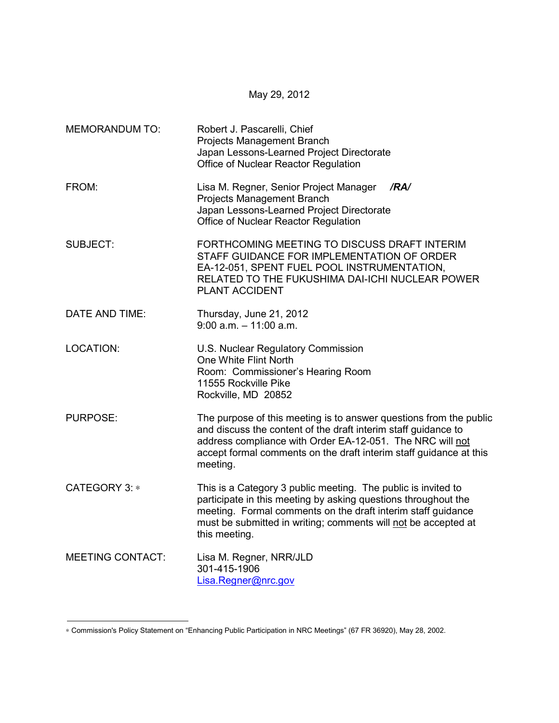| <b>MEMORANDUM TO:</b>   | Robert J. Pascarelli, Chief<br>Projects Management Branch<br>Japan Lessons-Learned Project Directorate<br>Office of Nuclear Reactor Regulation                                                                                                                                      |
|-------------------------|-------------------------------------------------------------------------------------------------------------------------------------------------------------------------------------------------------------------------------------------------------------------------------------|
| FROM:                   | Lisa M. Regner, Senior Project Manager<br>/RA/<br>Projects Management Branch<br>Japan Lessons-Learned Project Directorate<br>Office of Nuclear Reactor Regulation                                                                                                                   |
| <b>SUBJECT:</b>         | FORTHCOMING MEETING TO DISCUSS DRAFT INTERIM<br>STAFF GUIDANCE FOR IMPLEMENTATION OF ORDER<br>EA-12-051, SPENT FUEL POOL INSTRUMENTATION,<br>RELATED TO THE FUKUSHIMA DAI-ICHI NUCLEAR POWER<br><b>PLANT ACCIDENT</b>                                                               |
| DATE AND TIME:          | Thursday, June 21, 2012<br>$9:00$ a.m. $-11:00$ a.m.                                                                                                                                                                                                                                |
| <b>LOCATION:</b>        | U.S. Nuclear Regulatory Commission<br>One White Flint North<br>Room: Commissioner's Hearing Room<br>11555 Rockville Pike<br>Rockville, MD 20852                                                                                                                                     |
| <b>PURPOSE:</b>         | The purpose of this meeting is to answer questions from the public<br>and discuss the content of the draft interim staff guidance to<br>address compliance with Order EA-12-051. The NRC will not<br>accept formal comments on the draft interim staff guidance at this<br>meeting. |
| CATEGORY 3: *           | This is a Category 3 public meeting. The public is invited to<br>participate in this meeting by asking questions throughout the<br>meeting. Formal comments on the draft interim staff guidance<br>must be submitted in writing; comments will not be accepted at<br>this meeting.  |
| <b>MEETING CONTACT:</b> | Lisa M. Regner, NRR/JLD<br>301-415-1906<br>Lisa.Regner@nrc.gov                                                                                                                                                                                                                      |

May 29, 2012

<sup>∗</sup> Commission's Policy Statement on "Enhancing Public Participation in NRC Meetings" (67 FR 36920), May 28, 2002.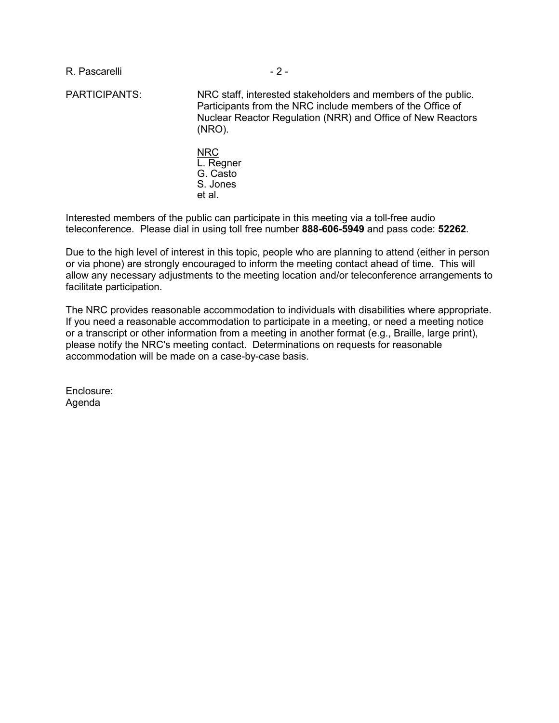R. Pascarelli - 2 -

PARTICIPANTS: NRC staff, interested stakeholders and members of the public. Participants from the NRC include members of the Office of Nuclear Reactor Regulation (NRR) and Office of New Reactors (NRO). NRC L. Regner

G. Casto S. Jones et al.

Interested members of the public can participate in this meeting via a toll-free audio teleconference. Please dial in using toll free number **888-606-5949** and pass code: **52262**.

Due to the high level of interest in this topic, people who are planning to attend (either in person or via phone) are strongly encouraged to inform the meeting contact ahead of time. This will allow any necessary adjustments to the meeting location and/or teleconference arrangements to facilitate participation.

The NRC provides reasonable accommodation to individuals with disabilities where appropriate. If you need a reasonable accommodation to participate in a meeting, or need a meeting notice or a transcript or other information from a meeting in another format (e.g., Braille, large print), please notify the NRC's meeting contact. Determinations on requests for reasonable accommodation will be made on a case-by-case basis.

Enclosure: Agenda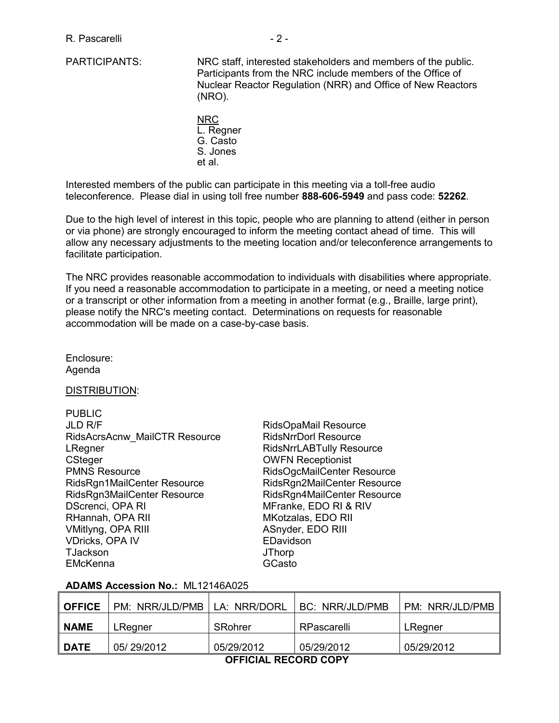- PARTICIPANTS: NRC staff, interested stakeholders and members of the public. Participants from the NRC include members of the Office of Nuclear Reactor Regulation (NRR) and Office of New Reactors (NRO).
	- NRC L. Regner G. Casto S. Jones et al.

Interested members of the public can participate in this meeting via a toll-free audio teleconference. Please dial in using toll free number **888-606-5949** and pass code: **52262**.

Due to the high level of interest in this topic, people who are planning to attend (either in person or via phone) are strongly encouraged to inform the meeting contact ahead of time. This will allow any necessary adjustments to the meeting location and/or teleconference arrangements to facilitate participation.

The NRC provides reasonable accommodation to individuals with disabilities where appropriate. If you need a reasonable accommodation to participate in a meeting, or need a meeting notice or a transcript or other information from a meeting in another format (e.g., Braille, large print), please notify the NRC's meeting contact. Determinations on requests for reasonable accommodation will be made on a case-by-case basis.

Enclosure: Agenda

DISTRIBUTION:

| <b>PUBLIC</b>                 |                                 |
|-------------------------------|---------------------------------|
| <b>JLD R/F</b>                | RidsOpaMail Resource            |
| RidsAcrsAcnw MailCTR Resource | <b>RidsNrrDorl Resource</b>     |
| LRegner                       | <b>RidsNrrLABTully Resource</b> |
| CSteger                       | <b>OWFN Receptionist</b>        |
| <b>PMNS Resource</b>          | RidsOgcMailCenter Resource      |
| RidsRgn1MailCenter Resource   | RidsRgn2MailCenter Resource     |
| RidsRgn3MailCenter Resource   | RidsRgn4MailCenter Resource     |
| DScrenci, OPA RI              | MFranke, EDO RI & RIV           |
| RHannah, OPA RII              | MKotzalas, EDO RII              |
| VMitlyng, OPA RIII            | ASnyder, EDO RIII               |
| <b>VDricks, OPA IV</b>        | EDavidson                       |
| <b>TJackson</b>               | <b>JThorp</b>                   |
| <b>EMcKenna</b>               | GCasto                          |

## **ADAMS Accession No.:** ML12146A025

| <b>OFFICE</b>        | PM: NRR/JLD/PMB | LA: NRR/DORL | BC: NRR/JLD/PMB | PM: NRR/JLD/PMB |  |  |
|----------------------|-----------------|--------------|-----------------|-----------------|--|--|
| <b>NAME</b>          | LRegner         | SRohrer      | RPascarelli     | LRegner         |  |  |
| <b>DATE</b>          | 05/29/2012      | 05/29/2012   | 05/29/2012      | 05/29/2012      |  |  |
| AFFIAIAL BEAARD AABV |                 |              |                 |                 |  |  |

 **OFFICIAL RECORD COPY**